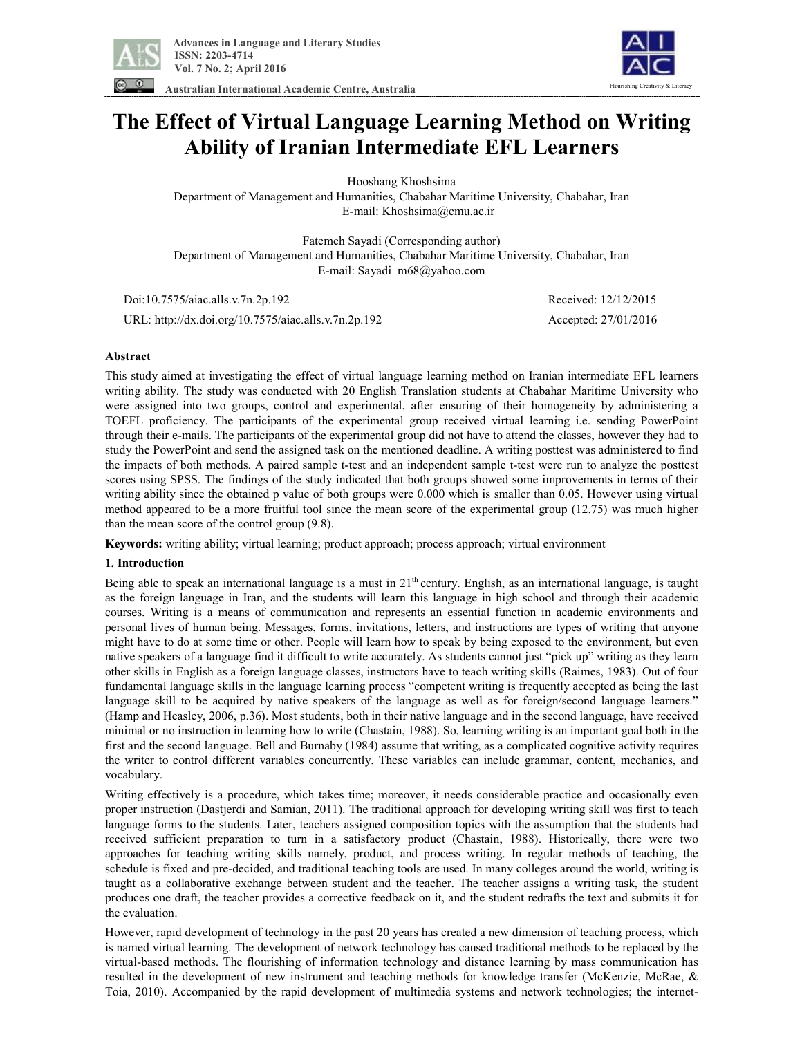

**Australian International Academic Centre, Australia** 

# Flourishing Creativity & Literacy

# **The Effect of Virtual Language Learning Method on Writing Ability of Iranian Intermediate EFL Learners**

Hooshang Khoshsima

Department of Management and Humanities, Chabahar Maritime University, Chabahar, Iran E-mail: Khoshsima@cmu.ac.ir

Fatemeh Sayadi (Corresponding author) Department of Management and Humanities, Chabahar Maritime University, Chabahar, Iran E-mail: Sayadi\_m68@yahoo.com

 Doi:10.7575/aiac.alls.v.7n.2p.192 Received: 12/12/2015 URL: http://dx.doi.org/10.7575/aiac.alls.v.7n.2p.192 Accepted: 27/01/2016

# **Abstract**

This study aimed at investigating the effect of virtual language learning method on Iranian intermediate EFL learners writing ability. The study was conducted with 20 English Translation students at Chabahar Maritime University who were assigned into two groups, control and experimental, after ensuring of their homogeneity by administering a TOEFL proficiency. The participants of the experimental group received virtual learning i.e. sending PowerPoint through their e-mails. The participants of the experimental group did not have to attend the classes, however they had to study the PowerPoint and send the assigned task on the mentioned deadline. A writing posttest was administered to find the impacts of both methods. A paired sample t-test and an independent sample t-test were run to analyze the posttest scores using SPSS. The findings of the study indicated that both groups showed some improvements in terms of their writing ability since the obtained p value of both groups were 0.000 which is smaller than 0.05. However using virtual method appeared to be a more fruitful tool since the mean score of the experimental group (12.75) was much higher than the mean score of the control group (9.8).

**Keywords:** writing ability; virtual learning; product approach; process approach; virtual environment

### **1. Introduction**

Being able to speak an international language is a must in 21<sup>th</sup> century. English, as an international language, is taught as the foreign language in Iran, and the students will learn this language in high school and through their academic courses. Writing is a means of communication and represents an essential function in academic environments and personal lives of human being. Messages, forms, invitations, letters, and instructions are types of writing that anyone might have to do at some time or other. People will learn how to speak by being exposed to the environment, but even native speakers of a language find it difficult to write accurately. As students cannot just "pick up" writing as they learn other skills in English as a foreign language classes, instructors have to teach writing skills (Raimes, 1983). Out of four fundamental language skills in the language learning process "competent writing is frequently accepted as being the last language skill to be acquired by native speakers of the language as well as for foreign/second language learners." (Hamp and Heasley, 2006, p.36). Most students, both in their native language and in the second language, have received minimal or no instruction in learning how to write (Chastain, 1988). So, learning writing is an important goal both in the first and the second language. Bell and Burnaby (1984) assume that writing, as a complicated cognitive activity requires the writer to control different variables concurrently. These variables can include grammar, content, mechanics, and vocabulary.

Writing effectively is a procedure, which takes time; moreover, it needs considerable practice and occasionally even proper instruction (Dastjerdi and Samian, 2011). The traditional approach for developing writing skill was first to teach language forms to the students. Later, teachers assigned composition topics with the assumption that the students had received sufficient preparation to turn in a satisfactory product (Chastain, 1988). Historically, there were two approaches for teaching writing skills namely, product, and process writing. In regular methods of teaching, the schedule is fixed and pre-decided, and traditional teaching tools are used. In many colleges around the world, writing is taught as a collaborative exchange between student and the teacher. The teacher assigns a writing task, the student produces one draft, the teacher provides a corrective feedback on it, and the student redrafts the text and submits it for the evaluation.

However, rapid development of technology in the past 20 years has created a new dimension of teaching process, which is named virtual learning. The development of network technology has caused traditional methods to be replaced by the virtual-based methods. The flourishing of information technology and distance learning by mass communication has resulted in the development of new instrument and teaching methods for knowledge transfer (McKenzie, McRae, & Toia, 2010). Accompanied by the rapid development of multimedia systems and network technologies; the internet-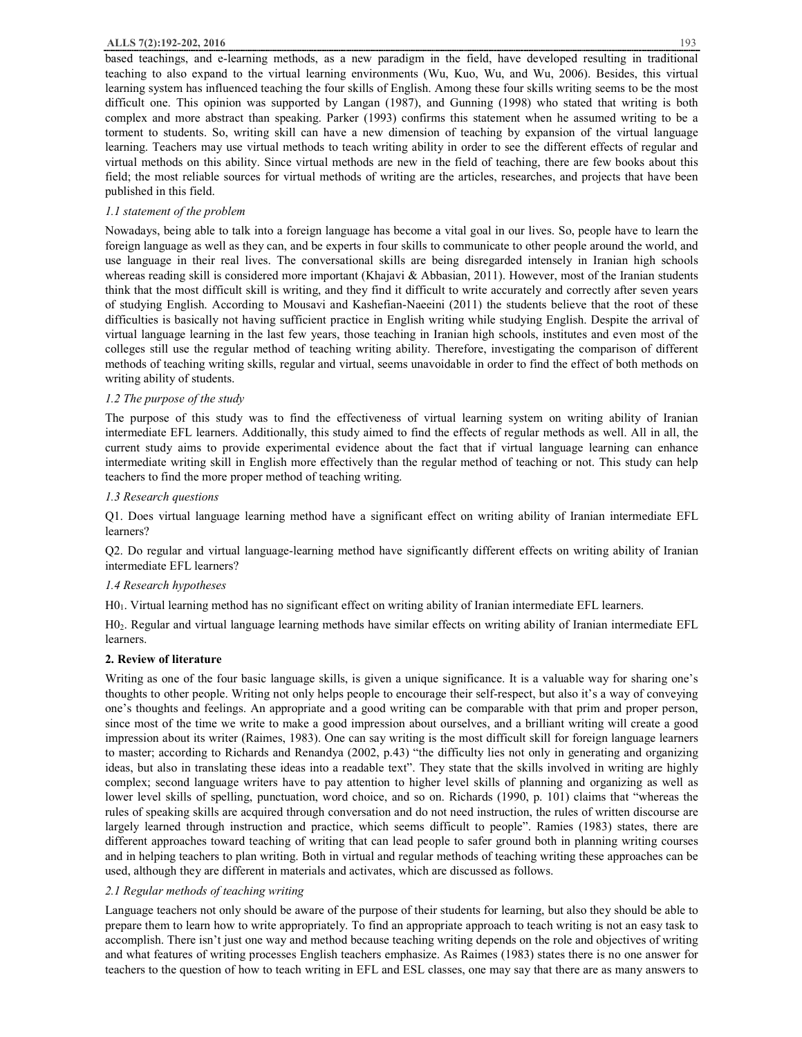#### **ALLS 7(2):192-202, 2016** 193

based teachings, and e-learning methods, as a new paradigm in the field, have developed resulting in traditional teaching to also expand to the virtual learning environments (Wu, Kuo, Wu, and Wu, 2006). Besides, this virtual learning system has influenced teaching the four skills of English. Among these four skills writing seems to be the most difficult one. This opinion was supported by Langan (1987), and Gunning (1998) who stated that writing is both complex and more abstract than speaking. Parker (1993) confirms this statement when he assumed writing to be a torment to students. So, writing skill can have a new dimension of teaching by expansion of the virtual language learning. Teachers may use virtual methods to teach writing ability in order to see the different effects of regular and virtual methods on this ability. Since virtual methods are new in the field of teaching, there are few books about this field; the most reliable sources for virtual methods of writing are the articles, researches, and projects that have been published in this field.

# *1.1 statement of the problem*

Nowadays, being able to talk into a foreign language has become a vital goal in our lives. So, people have to learn the foreign language as well as they can, and be experts in four skills to communicate to other people around the world, and use language in their real lives. The conversational skills are being disregarded intensely in Iranian high schools whereas reading skill is considered more important (Khajavi & Abbasian, 2011). However, most of the Iranian students think that the most difficult skill is writing, and they find it difficult to write accurately and correctly after seven years of studying English. According to Mousavi and Kashefian-Naeeini (2011) the students believe that the root of these difficulties is basically not having sufficient practice in English writing while studying English. Despite the arrival of virtual language learning in the last few years, those teaching in Iranian high schools, institutes and even most of the colleges still use the regular method of teaching writing ability. Therefore, investigating the comparison of different methods of teaching writing skills, regular and virtual, seems unavoidable in order to find the effect of both methods on writing ability of students.

# *1.2 The purpose of the study*

The purpose of this study was to find the effectiveness of virtual learning system on writing ability of Iranian intermediate EFL learners. Additionally, this study aimed to find the effects of regular methods as well. All in all, the current study aims to provide experimental evidence about the fact that if virtual language learning can enhance intermediate writing skill in English more effectively than the regular method of teaching or not. This study can help teachers to find the more proper method of teaching writing.

# *1.3 Research questions*

Q1. Does virtual language learning method have a significant effect on writing ability of Iranian intermediate EFL learners?

Q2. Do regular and virtual language-learning method have significantly different effects on writing ability of Iranian intermediate EFL learners?

# *1.4 Research hypotheses*

H01. Virtual learning method has no significant effect on writing ability of Iranian intermediate EFL learners.

H02. Regular and virtual language learning methods have similar effects on writing ability of Iranian intermediate EFL learners.

# **2. Review of literature**

Writing as one of the four basic language skills, is given a unique significance. It is a valuable way for sharing one's thoughts to other people. Writing not only helps people to encourage their self-respect, but also it's a way of conveying one's thoughts and feelings. An appropriate and a good writing can be comparable with that prim and proper person, since most of the time we write to make a good impression about ourselves, and a brilliant writing will create a good impression about its writer (Raimes, 1983). One can say writing is the most difficult skill for foreign language learners to master; according to Richards and Renandya (2002, p.43) "the difficulty lies not only in generating and organizing ideas, but also in translating these ideas into a readable text". They state that the skills involved in writing are highly complex; second language writers have to pay attention to higher level skills of planning and organizing as well as lower level skills of spelling, punctuation, word choice, and so on. Richards (1990, p. 101) claims that "whereas the rules of speaking skills are acquired through conversation and do not need instruction, the rules of written discourse are largely learned through instruction and practice, which seems difficult to people". Ramies (1983) states, there are different approaches toward teaching of writing that can lead people to safer ground both in planning writing courses and in helping teachers to plan writing. Both in virtual and regular methods of teaching writing these approaches can be used, although they are different in materials and activates, which are discussed as follows.

# *2.1 Regular methods of teaching writing*

Language teachers not only should be aware of the purpose of their students for learning, but also they should be able to prepare them to learn how to write appropriately. To find an appropriate approach to teach writing is not an easy task to accomplish. There isn't just one way and method because teaching writing depends on the role and objectives of writing and what features of writing processes English teachers emphasize. As Raimes (1983) states there is no one answer for teachers to the question of how to teach writing in EFL and ESL classes, one may say that there are as many answers to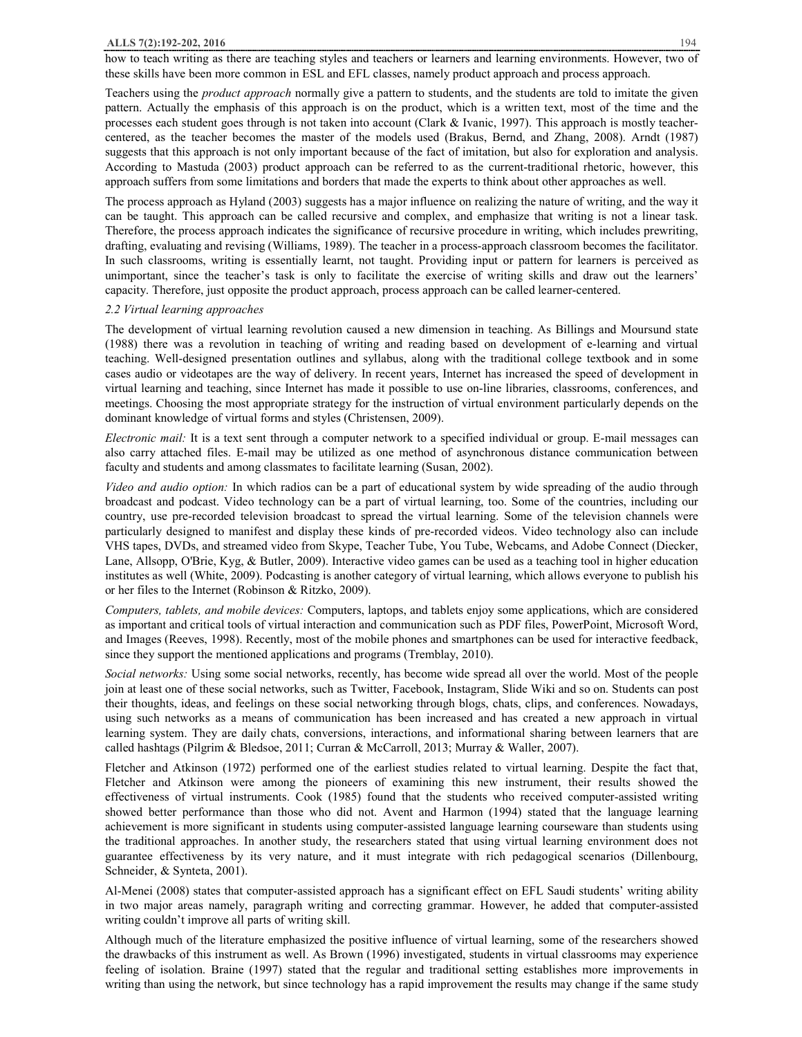#### **ALLS 7(2):192-202, 2016** 194

how to teach writing as there are teaching styles and teachers or learners and learning environments. However, two of these skills have been more common in ESL and EFL classes, namely product approach and process approach.

Teachers using the *product approach* normally give a pattern to students, and the students are told to imitate the given pattern. Actually the emphasis of this approach is on the product, which is a written text, most of the time and the processes each student goes through is not taken into account (Clark & Ivanic, 1997). This approach is mostly teachercentered, as the teacher becomes the master of the models used (Brakus, Bernd, and Zhang, 2008). Arndt (1987) suggests that this approach is not only important because of the fact of imitation, but also for exploration and analysis. According to Mastuda (2003) product approach can be referred to as the current-traditional rhetoric, however, this approach suffers from some limitations and borders that made the experts to think about other approaches as well.

The process approach as Hyland (2003) suggests has a major influence on realizing the nature of writing, and the way it can be taught. This approach can be called recursive and complex, and emphasize that writing is not a linear task. Therefore, the process approach indicates the significance of recursive procedure in writing, which includes prewriting, drafting, evaluating and revising (Williams, 1989). The teacher in a process-approach classroom becomes the facilitator. In such classrooms, writing is essentially learnt, not taught. Providing input or pattern for learners is perceived as unimportant, since the teacher's task is only to facilitate the exercise of writing skills and draw out the learners' capacity. Therefore, just opposite the product approach, process approach can be called learner-centered.

#### *2.2 Virtual learning approaches*

The development of virtual learning revolution caused a new dimension in teaching. As Billings and Moursund state (1988) there was a revolution in teaching of writing and reading based on development of e-learning and virtual teaching. Well-designed presentation outlines and syllabus, along with the traditional college textbook and in some cases audio or videotapes are the way of delivery. In recent years, Internet has increased the speed of development in virtual learning and teaching, since Internet has made it possible to use on-line libraries, classrooms, conferences, and meetings. Choosing the most appropriate strategy for the instruction of virtual environment particularly depends on the dominant knowledge of virtual forms and styles (Christensen, 2009).

*Electronic mail:* It is a text sent through a computer network to a specified individual or group. E-mail messages can also carry attached files. E-mail may be utilized as one method of asynchronous distance communication between faculty and students and among classmates to facilitate learning (Susan, 2002).

*Video and audio option:* In which radios can be a part of educational system by wide spreading of the audio through broadcast and podcast. Video technology can be a part of virtual learning, too. Some of the countries, including our country, use pre-recorded television broadcast to spread the virtual learning. Some of the television channels were particularly designed to manifest and display these kinds of pre-recorded videos. Video technology also can include VHS tapes, DVDs, and streamed video from Skype, Teacher Tube, You Tube, Webcams, and Adobe Connect (Diecker, Lane, Allsopp, O'Brie, Kyg, & Butler, 2009). Interactive video games can be used as a teaching tool in higher education institutes as well (White, 2009). Podcasting is another category of virtual learning, which allows everyone to publish his or her files to the Internet (Robinson & Ritzko, 2009).

*Computers, tablets, and mobile devices:* Computers, laptops, and tablets enjoy some applications, which are considered as important and critical tools of virtual interaction and communication such as PDF files, PowerPoint, Microsoft Word, and Images (Reeves, 1998). Recently, most of the mobile phones and smartphones can be used for interactive feedback, since they support the mentioned applications and programs (Tremblay, 2010).

*Social networks:* Using some social networks, recently, has become wide spread all over the world. Most of the people join at least one of these social networks, such as Twitter, Facebook, Instagram, Slide Wiki and so on. Students can post their thoughts, ideas, and feelings on these social networking through blogs, chats, clips, and conferences. Nowadays, using such networks as a means of communication has been increased and has created a new approach in virtual learning system. They are daily chats, conversions, interactions, and informational sharing between learners that are called hashtags (Pilgrim & Bledsoe, 2011; Curran & McCarroll, 2013; Murray & Waller, 2007).

Fletcher and Atkinson (1972) performed one of the earliest studies related to virtual learning. Despite the fact that, Fletcher and Atkinson were among the pioneers of examining this new instrument, their results showed the effectiveness of virtual instruments. Cook (1985) found that the students who received computer-assisted writing showed better performance than those who did not. Avent and Harmon (1994) stated that the language learning achievement is more significant in students using computer-assisted language learning courseware than students using the traditional approaches. In another study, the researchers stated that using virtual learning environment does not guarantee effectiveness by its very nature, and it must integrate with rich pedagogical scenarios (Dillenbourg, Schneider, & Synteta, 2001).

Al-Menei (2008) states that computer-assisted approach has a significant effect on EFL Saudi students' writing ability in two major areas namely, paragraph writing and correcting grammar. However, he added that computer-assisted writing couldn't improve all parts of writing skill.

Although much of the literature emphasized the positive influence of virtual learning, some of the researchers showed the drawbacks of this instrument as well. As Brown (1996) investigated, students in virtual classrooms may experience feeling of isolation. Braine (1997) stated that the regular and traditional setting establishes more improvements in writing than using the network, but since technology has a rapid improvement the results may change if the same study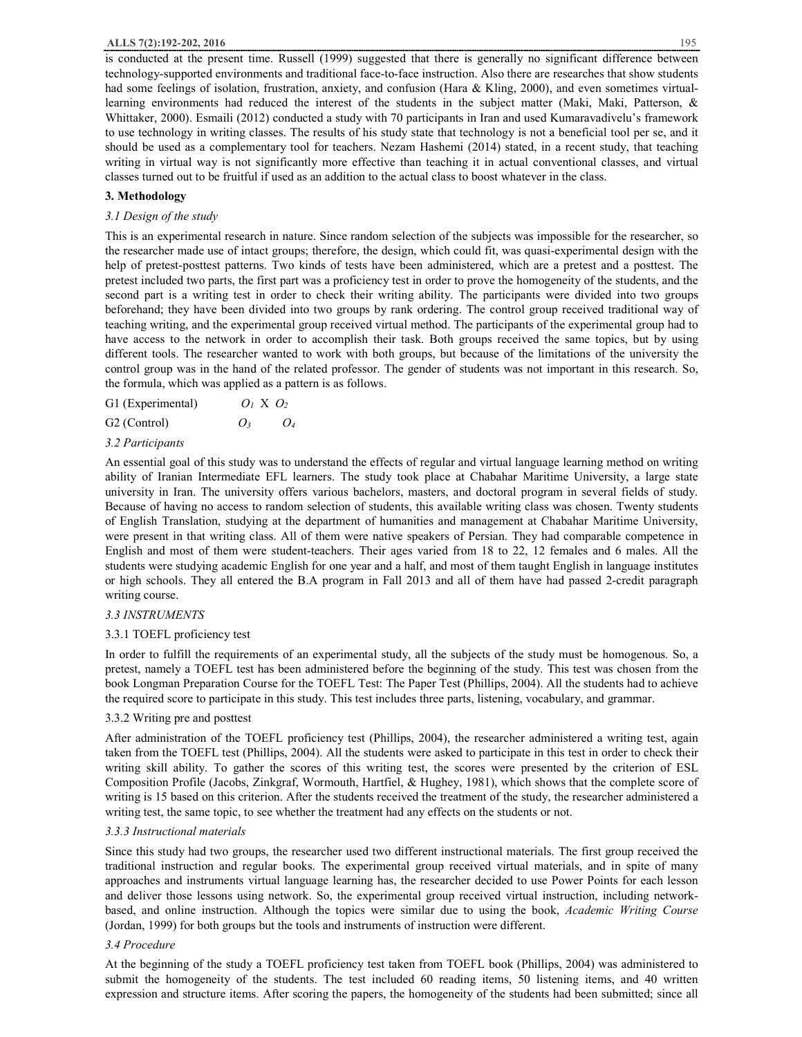is conducted at the present time. Russell (1999) suggested that there is generally no significant difference between technology-supported environments and traditional face-to-face instruction. Also there are researches that show students had some feelings of isolation, frustration, anxiety, and confusion (Hara & Kling, 2000), and even sometimes virtuallearning environments had reduced the interest of the students in the subject matter (Maki, Maki, Patterson, & Whittaker, 2000). Esmaili (2012) conducted a study with 70 participants in Iran and used Kumaravadivelu's framework to use technology in writing classes. The results of his study state that technology is not a beneficial tool per se, and it should be used as a complementary tool for teachers. Nezam Hashemi (2014) stated, in a recent study, that teaching writing in virtual way is not significantly more effective than teaching it in actual conventional classes, and virtual classes turned out to be fruitful if used as an addition to the actual class to boost whatever in the class.

# **3. Methodology**

# *3.1 Design of the study*

This is an experimental research in nature. Since random selection of the subjects was impossible for the researcher, so the researcher made use of intact groups; therefore, the design, which could fit, was quasi-experimental design with the help of pretest-posttest patterns. Two kinds of tests have been administered, which are a pretest and a posttest. The pretest included two parts, the first part was a proficiency test in order to prove the homogeneity of the students, and the second part is a writing test in order to check their writing ability. The participants were divided into two groups beforehand; they have been divided into two groups by rank ordering. The control group received traditional way of teaching writing, and the experimental group received virtual method. The participants of the experimental group had to have access to the network in order to accomplish their task. Both groups received the same topics, but by using different tools. The researcher wanted to work with both groups, but because of the limitations of the university the control group was in the hand of the related professor. The gender of students was not important in this research. So, the formula, which was applied as a pattern is as follows.

| G1 (Experimental) | $O_1$ X $O_2$ |  |
|-------------------|---------------|--|
| ----              |               |  |

| G2 (Control) | O <sub>3</sub> | O4 |
|--------------|----------------|----|
|              |                |    |

# *3.2 Participants*

An essential goal of this study was to understand the effects of regular and virtual language learning method on writing ability of Iranian Intermediate EFL learners. The study took place at Chabahar Maritime University, a large state university in Iran. The university offers various bachelors, masters, and doctoral program in several fields of study. Because of having no access to random selection of students, this available writing class was chosen. Twenty students of English Translation, studying at the department of humanities and management at Chabahar Maritime University, were present in that writing class. All of them were native speakers of Persian. They had comparable competence in English and most of them were student-teachers. Their ages varied from 18 to 22, 12 females and 6 males. All the students were studying academic English for one year and a half, and most of them taught English in language institutes or high schools. They all entered the B.A program in Fall 2013 and all of them have had passed 2-credit paragraph writing course.

# *3.3 INSTRUMENTS*

# 3.3.1 TOEFL proficiency test

In order to fulfill the requirements of an experimental study, all the subjects of the study must be homogenous. So, a pretest, namely a TOEFL test has been administered before the beginning of the study. This test was chosen from the book Longman Preparation Course for the TOEFL Test: The Paper Test (Phillips, 2004). All the students had to achieve the required score to participate in this study. This test includes three parts, listening, vocabulary, and grammar.

## 3.3.2 Writing pre and posttest

After administration of the TOEFL proficiency test (Phillips, 2004), the researcher administered a writing test, again taken from the TOEFL test (Phillips, 2004). All the students were asked to participate in this test in order to check their writing skill ability. To gather the scores of this writing test, the scores were presented by the criterion of ESL Composition Profile (Jacobs, Zinkgraf, Wormouth, Hartfiel, & Hughey, 1981), which shows that the complete score of writing is 15 based on this criterion. After the students received the treatment of the study, the researcher administered a writing test, the same topic, to see whether the treatment had any effects on the students or not.

### *3.3.3 Instructional materials*

Since this study had two groups, the researcher used two different instructional materials. The first group received the traditional instruction and regular books. The experimental group received virtual materials, and in spite of many approaches and instruments virtual language learning has, the researcher decided to use Power Points for each lesson and deliver those lessons using network. So, the experimental group received virtual instruction, including networkbased, and online instruction. Although the topics were similar due to using the book, *Academic Writing Course*  (Jordan, 1999) for both groups but the tools and instruments of instruction were different.

# *3.4 Procedure*

At the beginning of the study a TOEFL proficiency test taken from TOEFL book (Phillips, 2004) was administered to submit the homogeneity of the students. The test included 60 reading items, 50 listening items, and 40 written expression and structure items. After scoring the papers, the homogeneity of the students had been submitted; since all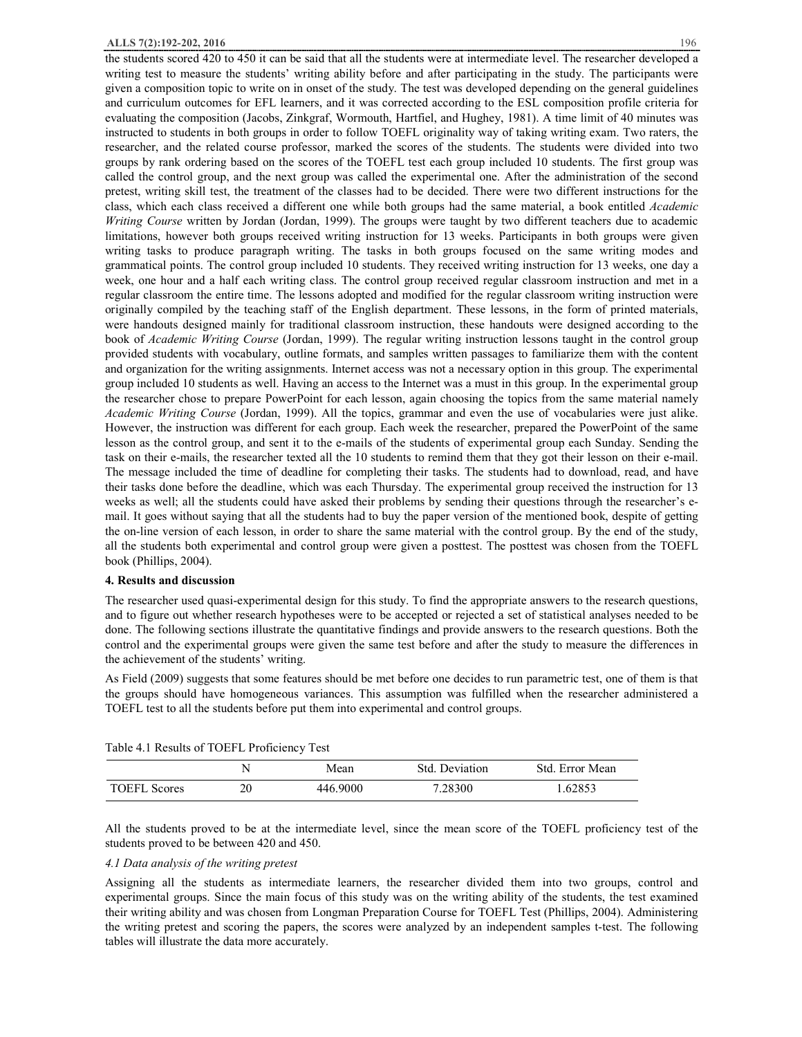the students scored 420 to 450 it can be said that all the students were at intermediate level. The researcher developed a writing test to measure the students' writing ability before and after participating in the study. The participants were given a composition topic to write on in onset of the study. The test was developed depending on the general guidelines and curriculum outcomes for EFL learners, and it was corrected according to the ESL composition profile criteria for evaluating the composition (Jacobs, Zinkgraf, Wormouth, Hartfiel, and Hughey, 1981). A time limit of 40 minutes was instructed to students in both groups in order to follow TOEFL originality way of taking writing exam. Two raters, the researcher, and the related course professor, marked the scores of the students. The students were divided into two groups by rank ordering based on the scores of the TOEFL test each group included 10 students. The first group was called the control group, and the next group was called the experimental one. After the administration of the second pretest, writing skill test, the treatment of the classes had to be decided. There were two different instructions for the class, which each class received a different one while both groups had the same material, a book entitled *Academic Writing Course* written by Jordan (Jordan, 1999). The groups were taught by two different teachers due to academic limitations, however both groups received writing instruction for 13 weeks. Participants in both groups were given writing tasks to produce paragraph writing. The tasks in both groups focused on the same writing modes and grammatical points. The control group included 10 students. They received writing instruction for 13 weeks, one day a week, one hour and a half each writing class. The control group received regular classroom instruction and met in a regular classroom the entire time. The lessons adopted and modified for the regular classroom writing instruction were originally compiled by the teaching staff of the English department. These lessons, in the form of printed materials, were handouts designed mainly for traditional classroom instruction, these handouts were designed according to the book of *Academic Writing Course* (Jordan, 1999). The regular writing instruction lessons taught in the control group provided students with vocabulary, outline formats, and samples written passages to familiarize them with the content and organization for the writing assignments. Internet access was not a necessary option in this group. The experimental group included 10 students as well. Having an access to the Internet was a must in this group. In the experimental group the researcher chose to prepare PowerPoint for each lesson, again choosing the topics from the same material namely *Academic Writing Course* (Jordan, 1999). All the topics, grammar and even the use of vocabularies were just alike. However, the instruction was different for each group. Each week the researcher, prepared the PowerPoint of the same lesson as the control group, and sent it to the e-mails of the students of experimental group each Sunday. Sending the task on their e-mails, the researcher texted all the 10 students to remind them that they got their lesson on their e-mail. The message included the time of deadline for completing their tasks. The students had to download, read, and have their tasks done before the deadline, which was each Thursday. The experimental group received the instruction for 13 weeks as well; all the students could have asked their problems by sending their questions through the researcher's email. It goes without saying that all the students had to buy the paper version of the mentioned book, despite of getting the on-line version of each lesson, in order to share the same material with the control group. By the end of the study, all the students both experimental and control group were given a posttest. The posttest was chosen from the TOEFL book (Phillips, 2004).

#### **4. Results and discussion**

The researcher used quasi-experimental design for this study. To find the appropriate answers to the research questions, and to figure out whether research hypotheses were to be accepted or rejected a set of statistical analyses needed to be done. The following sections illustrate the quantitative findings and provide answers to the research questions. Both the control and the experimental groups were given the same test before and after the study to measure the differences in the achievement of the students' writing.

As Field (2009) suggests that some features should be met before one decides to run parametric test, one of them is that the groups should have homogeneous variances. This assumption was fulfilled when the researcher administered a TOEFL test to all the students before put them into experimental and control groups.

|                     |    | Mean     | Std. Deviation | Std. Error Mean |
|---------------------|----|----------|----------------|-----------------|
| <b>TOEFL Scores</b> | 20 | 446.9000 | 7.28300        | .62853          |

Table 4.1 Results of TOEFL Proficiency Test

All the students proved to be at the intermediate level, since the mean score of the TOEFL proficiency test of the students proved to be between 420 and 450.

#### *4.1 Data analysis of the writing pretest*

Assigning all the students as intermediate learners, the researcher divided them into two groups, control and experimental groups. Since the main focus of this study was on the writing ability of the students, the test examined their writing ability and was chosen from Longman Preparation Course for TOEFL Test (Phillips, 2004). Administering the writing pretest and scoring the papers, the scores were analyzed by an independent samples t-test. The following tables will illustrate the data more accurately.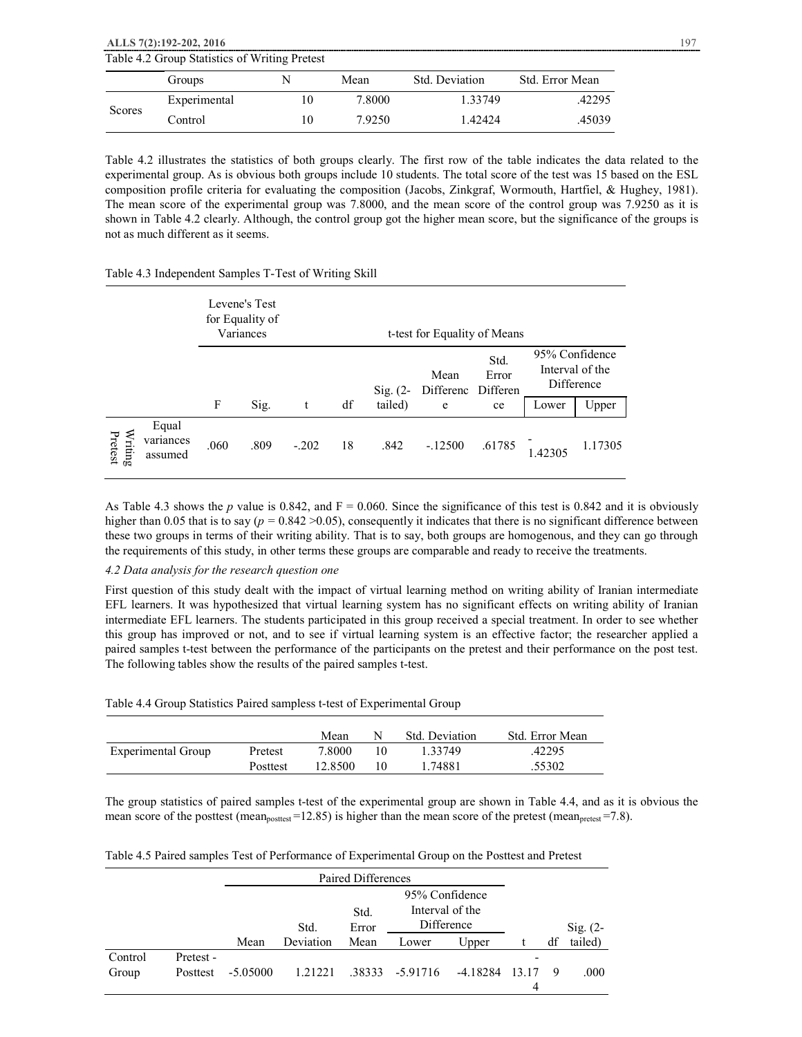|        | ALLS 7(2):192-202, 2016                       |        |                |                 |  |
|--------|-----------------------------------------------|--------|----------------|-----------------|--|
|        | Table 4.2 Group Statistics of Writing Pretest |        |                |                 |  |
|        | Groups                                        | Mean   | Std. Deviation | Std. Error Mean |  |
|        | Experimental                                  | 7.8000 | 1.33749        | .42295          |  |
| Scores | Control                                       | 79250  | 1.42424        | .45039          |  |

Table 4.2 illustrates the statistics of both groups clearly. The first row of the table indicates the data related to the experimental group. As is obvious both groups include 10 students. The total score of the test was 15 based on the ESL composition profile criteria for evaluating the composition (Jacobs, Zinkgraf, Wormouth, Hartfiel, & Hughey, 1981). The mean score of the experimental group was 7.8000, and the mean score of the control group was 7.9250 as it is shown in Table 4.2 clearly. Although, the control group got the higher mean score, but the significance of the groups is not as much different as it seems.

### Table 4.3 Independent Samples T-Test of Writing Skill

|                                                                       |                               |      | Levene's Test<br>for Equality of<br>Variances<br>t-test for Equality of Means |         |    |                       |                   |                                 |         |                                                 |
|-----------------------------------------------------------------------|-------------------------------|------|-------------------------------------------------------------------------------|---------|----|-----------------------|-------------------|---------------------------------|---------|-------------------------------------------------|
|                                                                       |                               |      |                                                                               |         | df | Sig. $(2-$<br>tailed) | Mean<br>Differenc | Std.<br>Error<br>Differen<br>ce |         | 95% Confidence<br>Interval of the<br>Difference |
|                                                                       |                               | F    | Sig.                                                                          | t       |    |                       | e                 |                                 | Lower   | Upper                                           |
| $\begin{array}{c}\n\mathbf{Writing} \\ \mathbf{Pretest}\n\end{array}$ | Equal<br>variances<br>assumed | .060 | .809                                                                          | $-.202$ | 18 | .842                  | $-.12500$         | .61785                          | 1.42305 | 1.17305                                         |

As Table 4.3 shows the *p* value is 0.842, and  $F = 0.060$ . Since the significance of this test is 0.842 and it is obviously higher than 0.05 that is to say ( $p = 0.842 > 0.05$ ), consequently it indicates that there is no significant difference between these two groups in terms of their writing ability. That is to say, both groups are homogenous, and they can go through the requirements of this study, in other terms these groups are comparable and ready to receive the treatments.

# *4.2 Data analysis for the research question one*

First question of this study dealt with the impact of virtual learning method on writing ability of Iranian intermediate EFL learners. It was hypothesized that virtual learning system has no significant effects on writing ability of Iranian intermediate EFL learners. The students participated in this group received a special treatment. In order to see whether this group has improved or not, and to see if virtual learning system is an effective factor; the researcher applied a paired samples t-test between the performance of the participants on the pretest and their performance on the post test. The following tables show the results of the paired samples t-test.

|                    |          | Mean    |    | Std. Deviation | Std. Error Mean |
|--------------------|----------|---------|----|----------------|-----------------|
| Experimental Group | Pretest  | 7.8000  | 10 | 1.33749        | .42295          |
|                    | Posttest | 12.8500 | 10 | 1.74881        | .55302          |

The group statistics of paired samples t-test of the experimental group are shown in Table 4.4, and as it is obvious the mean score of the posttest (mean<sub>posttest</sub> =12.85) is higher than the mean score of the pretest (mean<sub>pretest</sub> =7.8).

|  |  |  |  | Table 4.5 Paired samples Test of Performance of Experimental Group on the Posttest and Pretest |
|--|--|--|--|------------------------------------------------------------------------------------------------|
|--|--|--|--|------------------------------------------------------------------------------------------------|

|         |           | Paired Differences |           |       |                                   |          |       |    |                     |
|---------|-----------|--------------------|-----------|-------|-----------------------------------|----------|-------|----|---------------------|
|         | Std.      |                    |           |       | 95% Confidence<br>Interval of the |          |       |    |                     |
|         |           |                    | Std.      | Error | Difference                        |          |       |    | $\mathrm{Sig.}$ (2- |
|         |           | Mean               | Deviation | Mean  | Lower                             | Upper    |       | df | tailed)             |
| Control | Pretest - |                    |           |       |                                   |          |       |    |                     |
| Group   | Posttest  | $-5.05000$         | 1.21221   |       | .38333 -5.91716                   | -4.18284 | 13.17 |    | .000.               |
|         |           |                    |           |       |                                   |          | 4     |    |                     |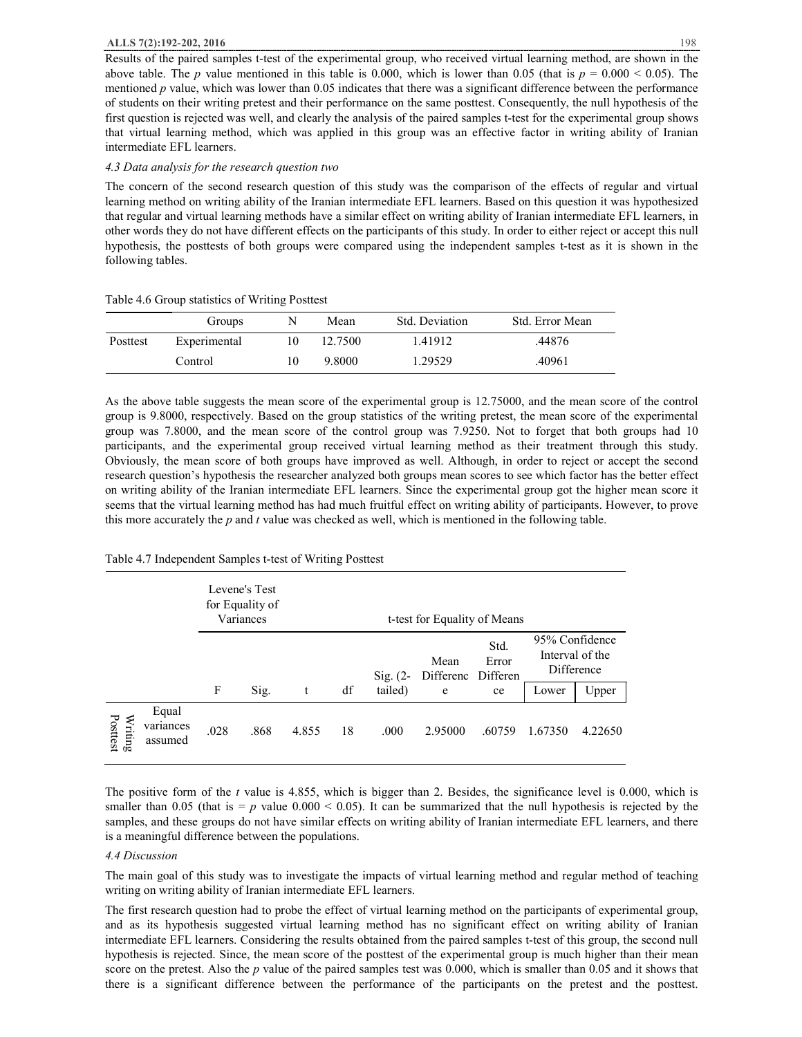#### **ALLS 7(2):192-202, 2016** 198

Results of the paired samples t-test of the experimental group, who received virtual learning method, are shown in the above table. The *p* value mentioned in this table is 0.000, which is lower than 0.05 (that is  $p = 0.000 < 0.05$ ). The mentioned *p* value, which was lower than 0.05 indicates that there was a significant difference between the performance of students on their writing pretest and their performance on the same posttest. Consequently, the null hypothesis of the first question is rejected was well, and clearly the analysis of the paired samples t-test for the experimental group shows that virtual learning method, which was applied in this group was an effective factor in writing ability of Iranian intermediate EFL learners.

#### *4.3 Data analysis for the research question two*

The concern of the second research question of this study was the comparison of the effects of regular and virtual learning method on writing ability of the Iranian intermediate EFL learners. Based on this question it was hypothesized that regular and virtual learning methods have a similar effect on writing ability of Iranian intermediate EFL learners, in other words they do not have different effects on the participants of this study. In order to either reject or accept this null hypothesis, the posttests of both groups were compared using the independent samples t-test as it is shown in the following tables.

|          | Groups       | N  | Mean    | Std. Deviation | Std. Error Mean |
|----------|--------------|----|---------|----------------|-----------------|
| Posttest | Experimental | 10 | 12.7500 | 1.41912        | .44876          |
|          | Control      | 10 | 9.8000  | 1.29529        | .40961          |

#### Table 4.6 Group statistics of Writing Posttest

As the above table suggests the mean score of the experimental group is 12.75000, and the mean score of the control group is 9.8000, respectively. Based on the group statistics of the writing pretest, the mean score of the experimental group was 7.8000, and the mean score of the control group was 7.9250. Not to forget that both groups had 10 participants, and the experimental group received virtual learning method as their treatment through this study. Obviously, the mean score of both groups have improved as well. Although, in order to reject or accept the second research question's hypothesis the researcher analyzed both groups mean scores to see which factor has the better effect on writing ability of the Iranian intermediate EFL learners. Since the experimental group got the higher mean score it seems that the virtual learning method has had much fruitful effect on writing ability of participants. However, to prove this more accurately the *p* and *t* value was checked as well, which is mentioned in the following table.

#### Table 4.7 Independent Samples t-test of Writing Posttest

|                     |                               |      | Levene's Test<br>for Equality of<br>Variances |       | t-test for Equality of Means |                     |                   |                           |         |         |                                                 |
|---------------------|-------------------------------|------|-----------------------------------------------|-------|------------------------------|---------------------|-------------------|---------------------------|---------|---------|-------------------------------------------------|
|                     |                               |      |                                               |       |                              | $\mathrm{Sig.}$ (2- | Mean<br>Differenc | Std.<br>Error<br>Differen |         |         | 95% Confidence<br>Interval of the<br>Difference |
|                     |                               | F    | Sig.                                          | t     | df                           | tailed)             | e                 | ce                        | Lower   | Upper   |                                                 |
| Posttest<br>Writing | Equal<br>variances<br>assumed | .028 | .868                                          | 4.855 | 18                           | .000                | 2.95000           | .60759                    | 1.67350 | 4.22650 |                                                 |

The positive form of the *t* value is 4.855, which is bigger than 2. Besides, the significance level is 0.000, which is smaller than  $0.05$  (that is  $= p$  value  $0.000 \le 0.05$ ). It can be summarized that the null hypothesis is rejected by the samples, and these groups do not have similar effects on writing ability of Iranian intermediate EFL learners, and there is a meaningful difference between the populations.

#### *4.4 Discussion*

The main goal of this study was to investigate the impacts of virtual learning method and regular method of teaching writing on writing ability of Iranian intermediate EFL learners.

The first research question had to probe the effect of virtual learning method on the participants of experimental group, and as its hypothesis suggested virtual learning method has no significant effect on writing ability of Iranian intermediate EFL learners. Considering the results obtained from the paired samples t-test of this group, the second null hypothesis is rejected. Since, the mean score of the posttest of the experimental group is much higher than their mean score on the pretest. Also the *p* value of the paired samples test was 0.000, which is smaller than 0.05 and it shows that there is a significant difference between the performance of the participants on the pretest and the posttest.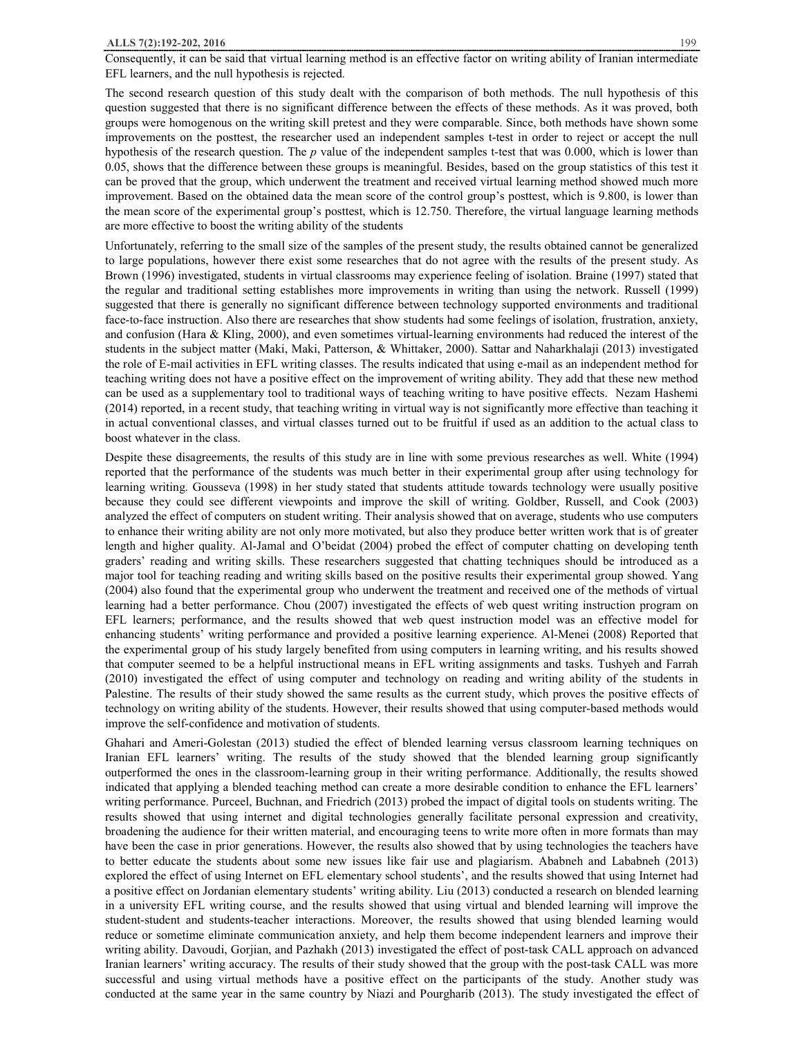Consequently, it can be said that virtual learning method is an effective factor on writing ability of Iranian intermediate EFL learners, and the null hypothesis is rejected.

The second research question of this study dealt with the comparison of both methods. The null hypothesis of this question suggested that there is no significant difference between the effects of these methods. As it was proved, both groups were homogenous on the writing skill pretest and they were comparable. Since, both methods have shown some improvements on the posttest, the researcher used an independent samples t-test in order to reject or accept the null hypothesis of the research question. The *p* value of the independent samples t-test that was 0.000, which is lower than 0.05, shows that the difference between these groups is meaningful. Besides, based on the group statistics of this test it can be proved that the group, which underwent the treatment and received virtual learning method showed much more improvement. Based on the obtained data the mean score of the control group's posttest, which is 9.800, is lower than the mean score of the experimental group's posttest, which is 12.750. Therefore, the virtual language learning methods are more effective to boost the writing ability of the students

Unfortunately, referring to the small size of the samples of the present study, the results obtained cannot be generalized to large populations, however there exist some researches that do not agree with the results of the present study. As Brown (1996) investigated, students in virtual classrooms may experience feeling of isolation. Braine (1997) stated that the regular and traditional setting establishes more improvements in writing than using the network. Russell (1999) suggested that there is generally no significant difference between technology supported environments and traditional face-to-face instruction. Also there are researches that show students had some feelings of isolation, frustration, anxiety, and confusion (Hara & Kling, 2000), and even sometimes virtual-learning environments had reduced the interest of the students in the subject matter (Maki, Maki, Patterson, & Whittaker, 2000). Sattar and Naharkhalaji (2013) investigated the role of E-mail activities in EFL writing classes. The results indicated that using e-mail as an independent method for teaching writing does not have a positive effect on the improvement of writing ability. They add that these new method can be used as a supplementary tool to traditional ways of teaching writing to have positive effects. Nezam Hashemi (2014) reported, in a recent study, that teaching writing in virtual way is not significantly more effective than teaching it in actual conventional classes, and virtual classes turned out to be fruitful if used as an addition to the actual class to boost whatever in the class.

Despite these disagreements, the results of this study are in line with some previous researches as well. White (1994) reported that the performance of the students was much better in their experimental group after using technology for learning writing. Gousseva (1998) in her study stated that students attitude towards technology were usually positive because they could see different viewpoints and improve the skill of writing. Goldber, Russell, and Cook (2003) analyzed the effect of computers on student writing. Their analysis showed that on average, students who use computers to enhance their writing ability are not only more motivated, but also they produce better written work that is of greater length and higher quality. Al-Jamal and O'beidat (2004) probed the effect of computer chatting on developing tenth graders' reading and writing skills. These researchers suggested that chatting techniques should be introduced as a major tool for teaching reading and writing skills based on the positive results their experimental group showed. Yang (2004) also found that the experimental group who underwent the treatment and received one of the methods of virtual learning had a better performance. Chou (2007) investigated the effects of web quest writing instruction program on EFL learners; performance, and the results showed that web quest instruction model was an effective model for enhancing students' writing performance and provided a positive learning experience. Al-Menei (2008) Reported that the experimental group of his study largely benefited from using computers in learning writing, and his results showed that computer seemed to be a helpful instructional means in EFL writing assignments and tasks. Tushyeh and Farrah (2010) investigated the effect of using computer and technology on reading and writing ability of the students in Palestine. The results of their study showed the same results as the current study, which proves the positive effects of technology on writing ability of the students. However, their results showed that using computer-based methods would improve the self-confidence and motivation of students.

Ghahari and Ameri-Golestan (2013) studied the effect of blended learning versus classroom learning techniques on Iranian EFL learners' writing. The results of the study showed that the blended learning group significantly outperformed the ones in the classroom-learning group in their writing performance. Additionally, the results showed indicated that applying a blended teaching method can create a more desirable condition to enhance the EFL learners' writing performance. Purceel, Buchnan, and Friedrich (2013) probed the impact of digital tools on students writing. The results showed that using internet and digital technologies generally facilitate personal expression and creativity, broadening the audience for their written material, and encouraging teens to write more often in more formats than may have been the case in prior generations. However, the results also showed that by using technologies the teachers have to better educate the students about some new issues like fair use and plagiarism. Ababneh and Lababneh (2013) explored the effect of using Internet on EFL elementary school students', and the results showed that using Internet had a positive effect on Jordanian elementary students' writing ability. Liu (2013) conducted a research on blended learning in a university EFL writing course, and the results showed that using virtual and blended learning will improve the student-student and students-teacher interactions. Moreover, the results showed that using blended learning would reduce or sometime eliminate communication anxiety, and help them become independent learners and improve their writing ability. Davoudi, Gorjian, and Pazhakh (2013) investigated the effect of post-task CALL approach on advanced Iranian learners' writing accuracy. The results of their study showed that the group with the post-task CALL was more successful and using virtual methods have a positive effect on the participants of the study. Another study was conducted at the same year in the same country by Niazi and Pourgharib (2013). The study investigated the effect of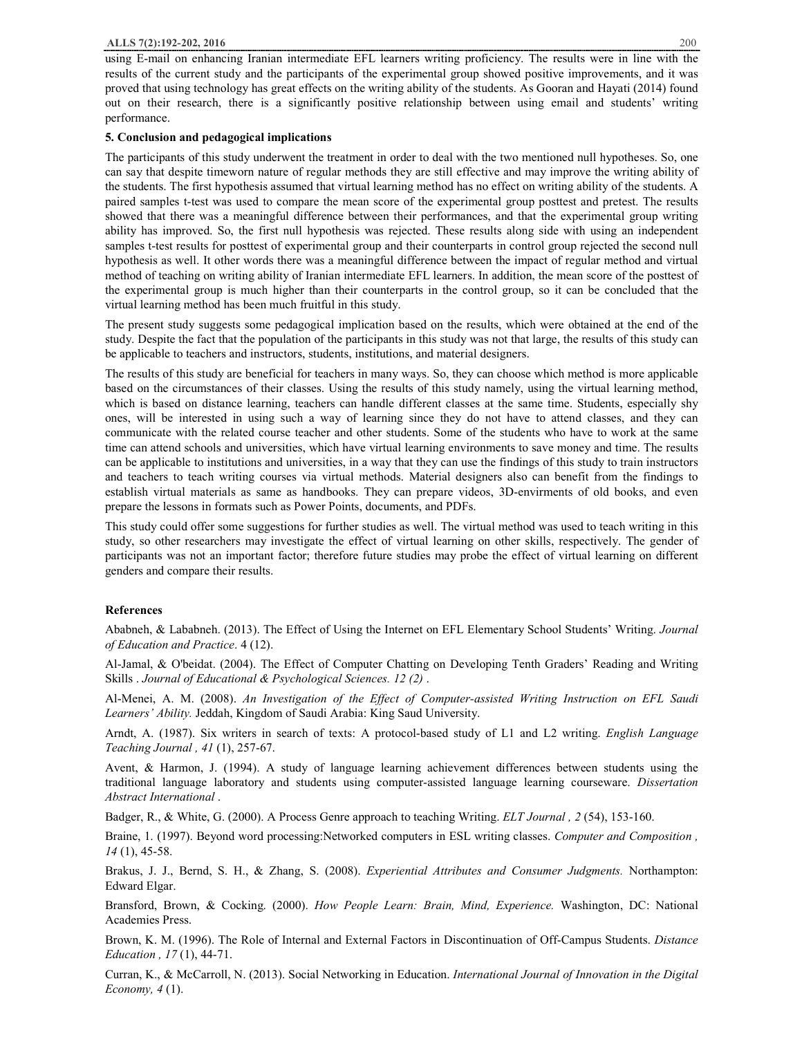using E-mail on enhancing Iranian intermediate EFL learners writing proficiency. The results were in line with the results of the current study and the participants of the experimental group showed positive improvements, and it was proved that using technology has great effects on the writing ability of the students. As Gooran and Hayati (2014) found out on their research, there is a significantly positive relationship between using email and students' writing performance.

#### **5. Conclusion and pedagogical implications**

The participants of this study underwent the treatment in order to deal with the two mentioned null hypotheses. So, one can say that despite timeworn nature of regular methods they are still effective and may improve the writing ability of the students. The first hypothesis assumed that virtual learning method has no effect on writing ability of the students. A paired samples t-test was used to compare the mean score of the experimental group posttest and pretest. The results showed that there was a meaningful difference between their performances, and that the experimental group writing ability has improved. So, the first null hypothesis was rejected. These results along side with using an independent samples t-test results for posttest of experimental group and their counterparts in control group rejected the second null hypothesis as well. It other words there was a meaningful difference between the impact of regular method and virtual method of teaching on writing ability of Iranian intermediate EFL learners. In addition, the mean score of the posttest of the experimental group is much higher than their counterparts in the control group, so it can be concluded that the virtual learning method has been much fruitful in this study.

The present study suggests some pedagogical implication based on the results, which were obtained at the end of the study. Despite the fact that the population of the participants in this study was not that large, the results of this study can be applicable to teachers and instructors, students, institutions, and material designers.

The results of this study are beneficial for teachers in many ways. So, they can choose which method is more applicable based on the circumstances of their classes. Using the results of this study namely, using the virtual learning method, which is based on distance learning, teachers can handle different classes at the same time. Students, especially shy ones, will be interested in using such a way of learning since they do not have to attend classes, and they can communicate with the related course teacher and other students. Some of the students who have to work at the same time can attend schools and universities, which have virtual learning environments to save money and time. The results can be applicable to institutions and universities, in a way that they can use the findings of this study to train instructors and teachers to teach writing courses via virtual methods. Material designers also can benefit from the findings to establish virtual materials as same as handbooks. They can prepare videos, 3D-envirments of old books, and even prepare the lessons in formats such as Power Points, documents, and PDFs.

This study could offer some suggestions for further studies as well. The virtual method was used to teach writing in this study, so other researchers may investigate the effect of virtual learning on other skills, respectively. The gender of participants was not an important factor; therefore future studies may probe the effect of virtual learning on different genders and compare their results.

#### **References**

Ababneh, & Lababneh. (2013). The Effect of Using the Internet on EFL Elementary School Students' Writing. *Journal of Education and Practice*. 4 (12).

Al-Jamal, & O'beidat. (2004). The Effect of Computer Chatting on Developing Tenth Graders' Reading and Writing Skills . *Journal of Educational & Psychological Sciences. 12 (2)* .

Al-Menei, A. M. (2008). *An Investigation of the Effect of Computer-assisted Writing Instruction on EFL Saudi Learners' Ability.* Jeddah, Kingdom of Saudi Arabia: King Saud University.

Arndt, A. (1987). Six writers in search of texts: A protocol-based study of L1 and L2 writing. *English Language Teaching Journal , 41* (1), 257-67.

Avent, & Harmon, J. (1994). A study of language learning achievement differences between students using the traditional language laboratory and students using computer-assisted language learning courseware. *Dissertation Abstract International* .

Badger, R., & White, G. (2000). A Process Genre approach to teaching Writing. *ELT Journal , 2* (54), 153-160.

Braine, 1. (1997). Beyond word processing:Networked computers in ESL writing classes. *Computer and Composition , 14* (1), 45-58.

Brakus, J. J., Bernd, S. H., & Zhang, S. (2008). *Experiential Attributes and Consumer Judgments.* Northampton: Edward Elgar.

Bransford, Brown, & Cocking. (2000). *How People Learn: Brain, Mind, Experience.* Washington, DC: National Academies Press.

Brown, K. M. (1996). The Role of Internal and External Factors in Discontinuation of Off-Campus Students. *Distance Education , 17* (1), 44-71.

Curran, K., & McCarroll, N. (2013). Social Networking in Education. *International Journal of Innovation in the Digital Economy, 4* (1).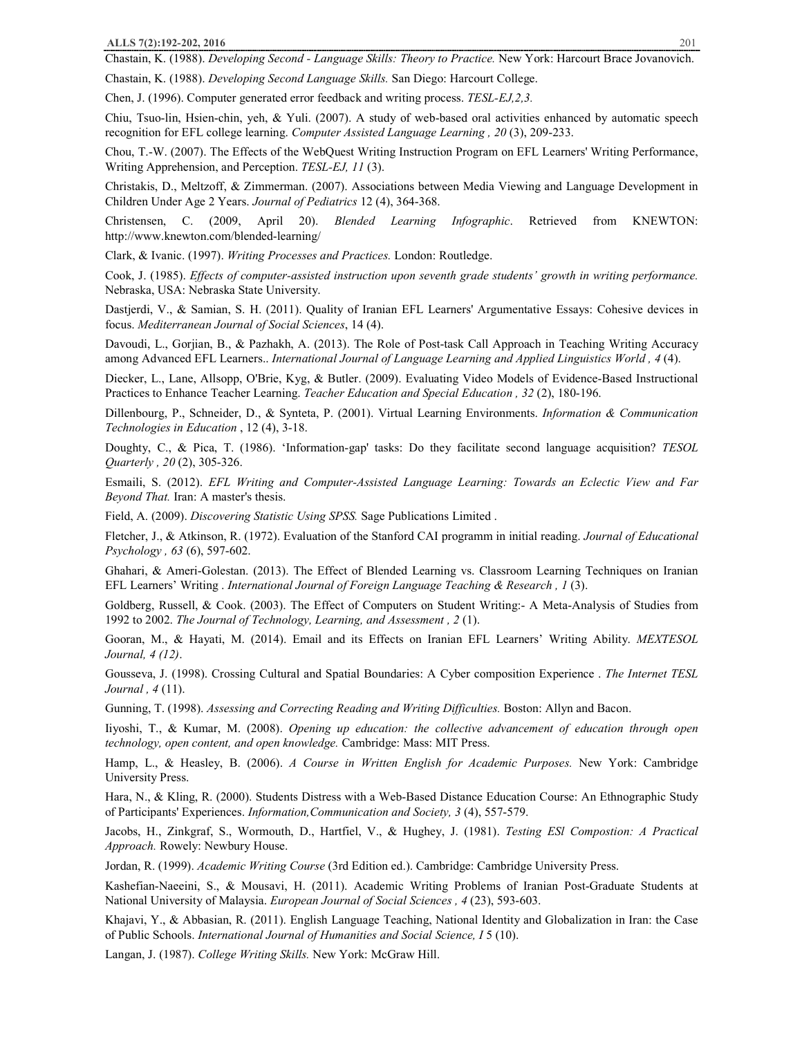Chastain, K. (1988). *Developing Second - Language Skills: Theory to Practice.* New York: Harcourt Brace Jovanovich.

Chastain, K. (1988). *Developing Second Language Skills.* San Diego: Harcourt College. Chen, J. (1996). Computer generated error feedback and writing process. *TESL-EJ,2,3.*

Chiu, Tsuo-lin, Hsien-chin, yeh, & Yuli. (2007). A study of web-based oral activities enhanced by automatic speech recognition for EFL college learning. *Computer Assisted Language Learning , 20* (3), 209-233.

Chou, T.-W. (2007). The Effects of the WebQuest Writing Instruction Program on EFL Learners' Writing Performance, Writing Apprehension, and Perception. *TESL-EJ, 11* (3).

Christakis, D., Meltzoff, & Zimmerman. (2007). Associations between Media Viewing and Language Development in Children Under Age 2 Years. *Journal of Pediatrics* 12 (4), 364-368.

Christensen, C. (2009, April 20). *Blended Learning Infographic*. Retrieved from KNEWTON: http://www.knewton.com/blended-learning/

Clark, & Ivanic. (1997). *Writing Processes and Practices.* London: Routledge.

Cook, J. (1985). *Effects of computer-assisted instruction upon seventh grade students' growth in writing performance.* Nebraska, USA: Nebraska State University.

Dastjerdi, V., & Samian, S. H. (2011). Quality of Iranian EFL Learners' Argumentative Essays: Cohesive devices in focus. *Mediterranean Journal of Social Sciences*, 14 (4).

Davoudi, L., Gorjian, B., & Pazhakh, A. (2013). The Role of Post-task Call Approach in Teaching Writing Accuracy among Advanced EFL Learners.. *International Journal of Language Learning and Applied Linguistics World , 4* (4).

Diecker, L., Lane, Allsopp, O'Brie, Kyg, & Butler. (2009). Evaluating Video Models of Evidence-Based Instructional Practices to Enhance Teacher Learning. *Teacher Education and Special Education , 32* (2), 180-196.

Dillenbourg, P., Schneider, D., & Synteta, P. (2001). Virtual Learning Environments. *Information & Communication Technologies in Education* , 12 (4), 3-18.

Doughty, C., & Pica, T. (1986). 'Information-gap' tasks: Do they facilitate second language acquisition? *TESOL Quarterly , 20* (2), 305-326.

Esmaili, S. (2012). *EFL Writing and Computer-Assisted Language Learning: Towards an Eclectic View and Far Beyond That.* Iran: A master's thesis.

Field, A. (2009). *Discovering Statistic Using SPSS.* Sage Publications Limited .

Fletcher, J., & Atkinson, R. (1972). Evaluation of the Stanford CAI programm in initial reading. *Journal of Educational Psychology , 63* (6), 597-602.

Ghahari, & Ameri-Golestan. (2013). The Effect of Blended Learning vs. Classroom Learning Techniques on Iranian EFL Learners' Writing . *International Journal of Foreign Language Teaching & Research , 1* (3).

Goldberg, Russell, & Cook. (2003). The Effect of Computers on Student Writing:- A Meta-Analysis of Studies from 1992 to 2002. *The Journal of Technology, Learning, and Assessment , 2* (1).

Gooran, M., & Hayati, M. (2014). Email and its Effects on Iranian EFL Learners' Writing Ability. *MEXTESOL Journal, 4 (12)*.

Gousseva, J. (1998). Crossing Cultural and Spatial Boundaries: A Cyber composition Experience . *The Internet TESL Journal , 4* (11).

Gunning, T. (1998). *Assessing and Correcting Reading and Writing Difficulties.* Boston: Allyn and Bacon.

Iiyoshi, T., & Kumar, M. (2008). *Opening up education: the collective advancement of education through open technology, open content, and open knowledge.* Cambridge: Mass: MIT Press.

Hamp, L., & Heasley, B. (2006). *A Course in Written English for Academic Purposes.* New York: Cambridge University Press.

Hara, N., & Kling, R. (2000). Students Distress with a Web-Based Distance Education Course: An Ethnographic Study of Participants' Experiences. *Information,Communication and Society, 3* (4), 557-579.

Jacobs, H., Zinkgraf, S., Wormouth, D., Hartfiel, V., & Hughey, J. (1981). *Testing ESl Compostion: A Practical Approach.* Rowely: Newbury House.

Jordan, R. (1999). *Academic Writing Course* (3rd Edition ed.). Cambridge: Cambridge University Press.

Kashefian-Naeeini, S., & Mousavi, H. (2011). Academic Writing Problems of Iranian Post-Graduate Students at National University of Malaysia. *European Journal of Social Sciences , 4* (23), 593-603.

Khajavi, Y., & Abbasian, R. (2011). English Language Teaching, National Identity and Globalization in Iran: the Case of Public Schools. *International Journal of Humanities and Social Science, I* 5 (10).

Langan, J. (1987). *College Writing Skills.* New York: McGraw Hill.